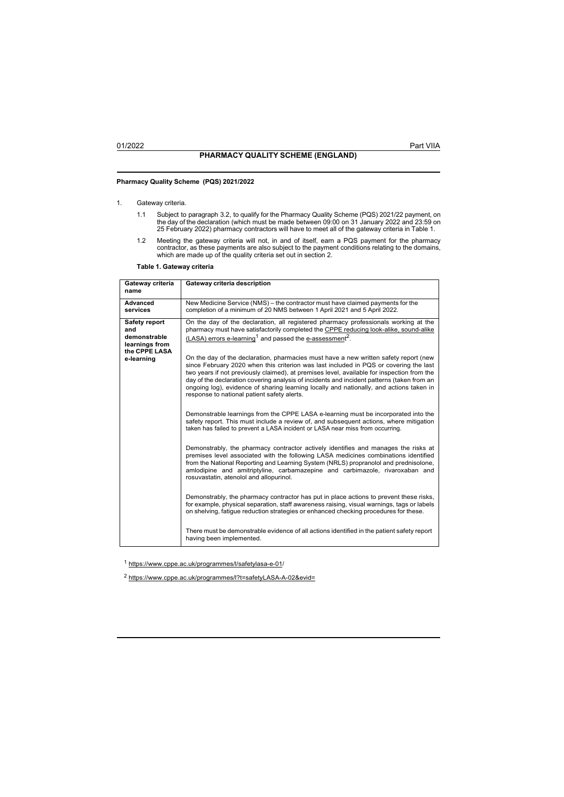# **Pharmacy Quality Scheme (PQS) 2021/2022**

## 1. Gateway criteria.

- 1.1 Subject to paragraph 3.2, to qualify for the Pharmacy Quality Scheme (PQS) 2021/22 payment, on<br>the day of the declaration (which must be made between 09:00 on 31 January 2022 and 23:59 on<br>.25 February 2022) pharmacy co
- 1.2 Meeting the gateway criteria will not, in and of itself, earn a PQS payment for the pharmacy<br>contractor, as these payments are also subject to the payment conditions relating to the domains,<br>which are made up of the qu

**Table 1. Gateway criteria**

| Gateway criteria<br>name                                                                     | Gateway criteria description                                                                                                                                                                                                                                                                                                                                                                                                                                                                                                                                                                                                                                                                                                                                                                                                                                                                                                                                                                                                                                                                                                                                                                                                                                                                                                  |
|----------------------------------------------------------------------------------------------|-------------------------------------------------------------------------------------------------------------------------------------------------------------------------------------------------------------------------------------------------------------------------------------------------------------------------------------------------------------------------------------------------------------------------------------------------------------------------------------------------------------------------------------------------------------------------------------------------------------------------------------------------------------------------------------------------------------------------------------------------------------------------------------------------------------------------------------------------------------------------------------------------------------------------------------------------------------------------------------------------------------------------------------------------------------------------------------------------------------------------------------------------------------------------------------------------------------------------------------------------------------------------------------------------------------------------------|
| Advanced<br>services                                                                         | New Medicine Service (NMS) – the contractor must have claimed payments for the<br>completion of a minimum of 20 NMS between 1 April 2021 and 5 April 2022.                                                                                                                                                                                                                                                                                                                                                                                                                                                                                                                                                                                                                                                                                                                                                                                                                                                                                                                                                                                                                                                                                                                                                                    |
| <b>Safety report</b><br>and<br>demonstrable<br>learnings from<br>the CPPE LASA<br>e-learning | On the day of the declaration, all registered pharmacy professionals working at the<br>pharmacy must have satisfactorily completed the CPPE reducing look-alike, sound-alike<br>(LASA) errors e-learning <sup>1</sup> and passed the e-assessment <sup>2</sup> .<br>On the day of the declaration, pharmacies must have a new written safety report (new<br>since February 2020 when this criterion was last included in PQS or covering the last<br>two years if not previously claimed), at premises level, available for inspection from the<br>day of the declaration covering analysis of incidents and incident patterns (taken from an<br>ongoing log), evidence of sharing learning locally and nationally, and actions taken in<br>response to national patient safety alerts.<br>Demonstrable learnings from the CPPE LASA e-learning must be incorporated into the<br>safety report. This must include a review of, and subsequent actions, where mitigation<br>taken has failed to prevent a LASA incident or LASA near miss from occurring.<br>Demonstrably, the pharmacy contractor actively identifies and manages the risks at<br>premises level associated with the following LASA medicines combinations identified<br>from the National Reporting and Learning System (NRLS) propranolol and prednisolone, |
|                                                                                              | amlodipine and amitriptyline, carbamazepine and carbimazole, rivaroxaban and<br>rosuvastatin, atenolol and allopurinol.<br>Demonstrably, the pharmacy contractor has put in place actions to prevent these risks,<br>for example, physical separation, staff awareness raising, visual warnings, tags or labels<br>on shelving, fatigue reduction strategies or enhanced checking procedures for these.<br>There must be demonstrable evidence of all actions identified in the patient safety report<br>having been implemented.                                                                                                                                                                                                                                                                                                                                                                                                                                                                                                                                                                                                                                                                                                                                                                                             |

<sup>1</sup> https:[//www.cppe.ac.uk/programmes/l/safetylasa-e-01/](http://www.cppe.ac.uk/programmes/l/safetylasa-e-01/)

<sup>2</sup> https:[//www.cppe.ac.uk/programmes/l?t=safetyLASA-A-02&evid=](http://www.cppe.ac.uk/programmes/l?t=safetyLASA-A-02&evid)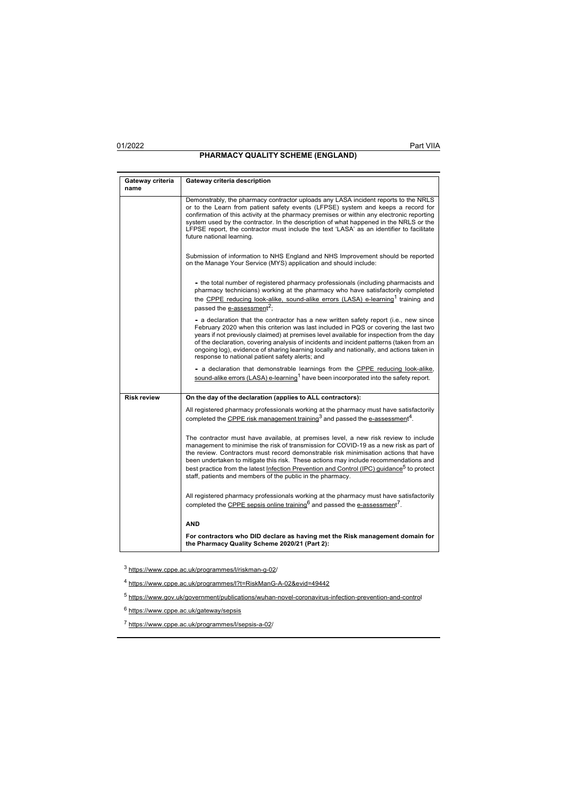## **PHARMACY QUALITY SCHEME (ENGLAND)**

| Gateway criteria   | Gateway criteria description                                                                                                                                                                                                                                                                                                                                                                                                                                                                                                        |
|--------------------|-------------------------------------------------------------------------------------------------------------------------------------------------------------------------------------------------------------------------------------------------------------------------------------------------------------------------------------------------------------------------------------------------------------------------------------------------------------------------------------------------------------------------------------|
| name               |                                                                                                                                                                                                                                                                                                                                                                                                                                                                                                                                     |
|                    | Demonstrably, the pharmacy contractor uploads any LASA incident reports to the NRLS<br>or to the Learn from patient safety events (LFPSE) system and keeps a record for<br>confirmation of this activity at the pharmacy premises or within any electronic reporting<br>system used by the contractor. In the description of what happened in the NRLS or the<br>LFPSE report, the contractor must include the text 'LASA' as an identifier to facilitate<br>future national learning.                                              |
|                    | Submission of information to NHS England and NHS Improvement should be reported<br>on the Manage Your Service (MYS) application and should include:                                                                                                                                                                                                                                                                                                                                                                                 |
|                    | - the total number of registered pharmacy professionals (including pharmacists and<br>pharmacy technicians) working at the pharmacy who have satisfactorily completed<br>the CPPE reducing look-alike, sound-alike errors (LASA) e-learning <sup>1</sup> training and<br>passed the e-assessment <sup>2</sup> ;                                                                                                                                                                                                                     |
|                    | - a declaration that the contractor has a new written safety report (i.e., new since<br>February 2020 when this criterion was last included in PQS or covering the last two<br>years if not previously claimed) at premises level available for inspection from the day<br>of the declaration, covering analysis of incidents and incident patterns (taken from an<br>ongoing log), evidence of sharing learning locally and nationally, and actions taken in<br>response to national patient safety alerts; and                    |
|                    | - a declaration that demonstrable learnings from the CPPE reducing look-alike,<br>sound-alike errors (LASA) e-learning <sup>1</sup> have been incorporated into the safety report.                                                                                                                                                                                                                                                                                                                                                  |
| <b>Risk review</b> | On the day of the declaration (applies to ALL contractors):                                                                                                                                                                                                                                                                                                                                                                                                                                                                         |
|                    | All registered pharmacy professionals working at the pharmacy must have satisfactorily<br>completed the CPPE risk management training <sup>3</sup> and passed the e-assessment <sup>4</sup> .                                                                                                                                                                                                                                                                                                                                       |
|                    | The contractor must have available, at premises level, a new risk review to include<br>management to minimise the risk of transmission for COVID-19 as a new risk as part of<br>the review. Contractors must record demonstrable risk minimisation actions that have<br>been undertaken to mitigate this risk. These actions may include recommendations and<br>best practice from the latest Infection Prevention and Control (IPC) quidance <sup>5</sup> to protect<br>staff, patients and members of the public in the pharmacy. |
|                    | All registered pharmacy professionals working at the pharmacy must have satisfactorily<br>completed the CPPE sepsis online training <sup>6</sup> and passed the e-assessment <sup>7</sup> .                                                                                                                                                                                                                                                                                                                                         |
|                    | <b>AND</b>                                                                                                                                                                                                                                                                                                                                                                                                                                                                                                                          |
|                    | For contractors who DID declare as having met the Risk management domain for<br>the Pharmacy Quality Scheme 2020/21 (Part 2):                                                                                                                                                                                                                                                                                                                                                                                                       |

<sup>3</sup> https:[//www.cppe.ac.uk/programmes/l/riskman-g-02/](http://www.cppe.ac.uk/programmes/l/riskman-g-02/)

<sup>4</sup> https:[//www.cppe.ac.uk/programmes/l?t=RiskManG-A-02&evid=49442](http://www.cppe.ac.uk/programmes/l?t=RiskManG-A-02&evid=49442)

<sup>5</sup> https:[//www.gov.uk/government/publications/wuhan-novel-coronavirus-infection-prevention-and-control](http://www.gov.uk/government/publications/wuhan-novel-coronavirus-infection-prevention-and-control)

<sup>6</sup> https:[//www.cppe.ac.uk/gateway/sepsis](http://www.cppe.ac.uk/gateway/sepsis)

<sup>7</sup> https:[//www.cppe.ac.uk/programmes/l/sepsis-a-02/](http://www.cppe.ac.uk/programmes/l/sepsis-a-02/)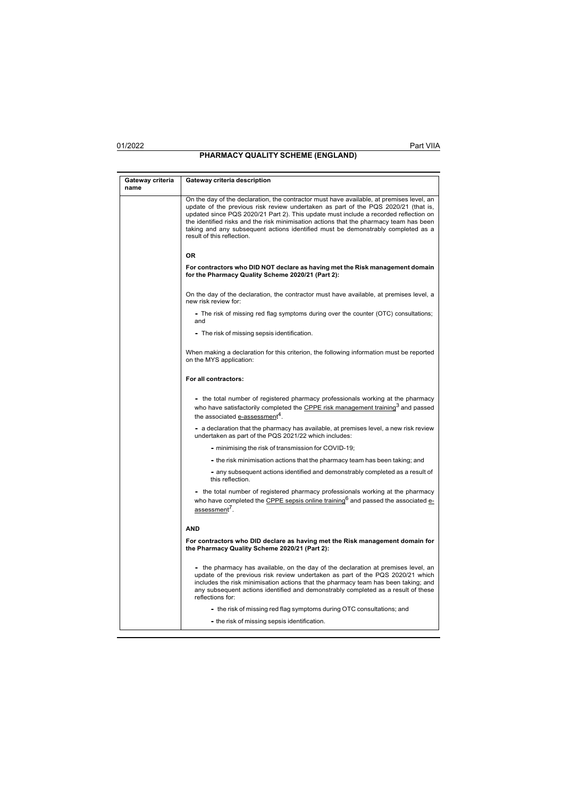| Gateway criteria | Gateway criteria description                                                                                                                                                                                                                                                                                                                                                                                                                                                       |
|------------------|------------------------------------------------------------------------------------------------------------------------------------------------------------------------------------------------------------------------------------------------------------------------------------------------------------------------------------------------------------------------------------------------------------------------------------------------------------------------------------|
| name             |                                                                                                                                                                                                                                                                                                                                                                                                                                                                                    |
|                  | On the day of the declaration, the contractor must have available, at premises level, an<br>update of the previous risk review undertaken as part of the PQS 2020/21 (that is,<br>updated since PQS 2020/21 Part 2). This update must include a recorded reflection on<br>the identified risks and the risk minimisation actions that the pharmacy team has been<br>taking and any subsequent actions identified must be demonstrably completed as a<br>result of this reflection. |
|                  | 0R                                                                                                                                                                                                                                                                                                                                                                                                                                                                                 |
|                  | For contractors who DID NOT declare as having met the Risk management domain<br>for the Pharmacy Quality Scheme 2020/21 (Part 2):                                                                                                                                                                                                                                                                                                                                                  |
|                  | On the day of the declaration, the contractor must have available, at premises level, a<br>new risk review for:                                                                                                                                                                                                                                                                                                                                                                    |
|                  | - The risk of missing red flag symptoms during over the counter (OTC) consultations;<br>and                                                                                                                                                                                                                                                                                                                                                                                        |
|                  | - The risk of missing sepsis identification.                                                                                                                                                                                                                                                                                                                                                                                                                                       |
|                  | When making a declaration for this criterion, the following information must be reported<br>on the MYS application:                                                                                                                                                                                                                                                                                                                                                                |
|                  | For all contractors:                                                                                                                                                                                                                                                                                                                                                                                                                                                               |
|                  | - the total number of registered pharmacy professionals working at the pharmacy<br>who have satisfactorily completed the CPPE risk management training <sup>3</sup> and passed<br>the associated e-assessment <sup>4</sup> .                                                                                                                                                                                                                                                       |
|                  | - a declaration that the pharmacy has available, at premises level, a new risk review<br>undertaken as part of the PQS 2021/22 which includes:                                                                                                                                                                                                                                                                                                                                     |
|                  | - minimising the risk of transmission for COVID-19;                                                                                                                                                                                                                                                                                                                                                                                                                                |
|                  | - the risk minimisation actions that the pharmacy team has been taking; and                                                                                                                                                                                                                                                                                                                                                                                                        |
|                  | - any subsequent actions identified and demonstrably completed as a result of<br>this reflection.                                                                                                                                                                                                                                                                                                                                                                                  |
|                  | - the total number of registered pharmacy professionals working at the pharmacy<br>who have completed the CPPE sepsis online training <sup>6</sup> and passed the associated e-<br>assessment <sup>7</sup> .                                                                                                                                                                                                                                                                       |
|                  | <b>AND</b>                                                                                                                                                                                                                                                                                                                                                                                                                                                                         |
|                  | For contractors who DID declare as having met the Risk management domain for<br>the Pharmacy Quality Scheme 2020/21 (Part 2):                                                                                                                                                                                                                                                                                                                                                      |
|                  | - the pharmacy has available, on the day of the declaration at premises level, an<br>update of the previous risk review undertaken as part of the PQS 2020/21 which<br>includes the risk minimisation actions that the pharmacy team has been taking; and<br>any subsequent actions identified and demonstrably completed as a result of these<br>reflections for:                                                                                                                 |
|                  | - the risk of missing red flag symptoms during OTC consultations; and                                                                                                                                                                                                                                                                                                                                                                                                              |
|                  | - the risk of missing sepsis identification.                                                                                                                                                                                                                                                                                                                                                                                                                                       |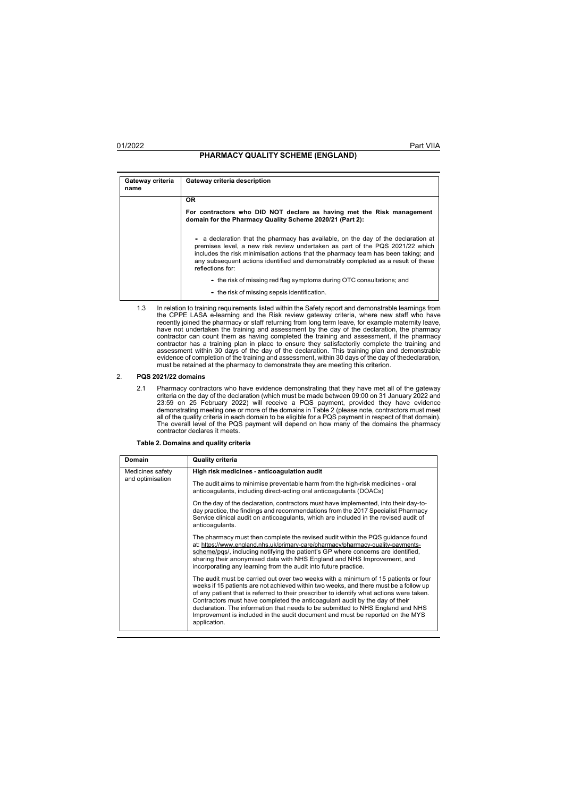# **PHARMACY QUALITY SCHEME (ENGLAND)**

| Gateway criteria<br>name | Gateway criteria description                                                                                                                                                                                                                                                                                                                                      |
|--------------------------|-------------------------------------------------------------------------------------------------------------------------------------------------------------------------------------------------------------------------------------------------------------------------------------------------------------------------------------------------------------------|
|                          | <b>OR</b>                                                                                                                                                                                                                                                                                                                                                         |
|                          | For contractors who DID NOT declare as having met the Risk management<br>domain for the Pharmacy Quality Scheme 2020/21 (Part 2):                                                                                                                                                                                                                                 |
|                          | - a declaration that the pharmacy has available, on the day of the declaration at<br>premises level, a new risk review undertaken as part of the PQS 2021/22 which<br>includes the risk minimisation actions that the pharmacy team has been taking; and<br>any subsequent actions identified and demonstrably completed as a result of these<br>reflections for: |
|                          | - the risk of missing red flag symptoms during OTC consultations; and<br>- the risk of missing sepsis identification.                                                                                                                                                                                                                                             |

1.3 In relation to training requirements listed within the Safety report and demonstrable learnings from the CPPE LASA e-learning and the Risk review gateway criteria, where new staff who have<br>recently joined the pharmacy or staff returning from long term leave, for example maternity leave,<br>have not undertaken the training an must be retained at the pharmacy to demonstrate they are meeting this criterion.

## 2. **PQS 2021/22 domains**

2.1 Pharmacy contractors who have evidence demonstrating that they have met all of the gateway criteria on the day of the declaration (which must be made between 09:00 on 31 January 2022 and 23:59 on 25 February 2022) will receive a PQS payment, provided they have evidence<br>demonstrating meeting one or more of the domains in Table 2 (please note, contractors must meet<br>all of the quality criteria in each domain

## **Table 2. Domains and quality criteria**

| Domain                               | <b>Quality criteria</b>                                                                                                                                                                                                                                                                                                                                                                                                                                                                                                                   |
|--------------------------------------|-------------------------------------------------------------------------------------------------------------------------------------------------------------------------------------------------------------------------------------------------------------------------------------------------------------------------------------------------------------------------------------------------------------------------------------------------------------------------------------------------------------------------------------------|
| Medicines safety<br>and optimisation | High risk medicines - anticoagulation audit                                                                                                                                                                                                                                                                                                                                                                                                                                                                                               |
|                                      | The audit aims to minimise preventable harm from the high-risk medicines - oral<br>anticoagulants, including direct-acting oral anticoagulants (DOACs)                                                                                                                                                                                                                                                                                                                                                                                    |
|                                      | On the day of the declaration, contractors must have implemented, into their day-to-<br>day practice, the findings and recommendations from the 2017 Specialist Pharmacy<br>Service clinical audit on anticoagulants, which are included in the revised audit of<br>anticoagulants.                                                                                                                                                                                                                                                       |
|                                      | The pharmacy must then complete the revised audit within the PQS quidance found<br>at: https://www.england.nhs.uk/primary-care/pharmacy/pharmacy-quality-payments-<br>scheme/pqs/, including notifying the patient's GP where concerns are identified,<br>sharing their anonymised data with NHS England and NHS Improvement, and<br>incorporating any learning from the audit into future practice.                                                                                                                                      |
|                                      | The audit must be carried out over two weeks with a minimum of 15 patients or four<br>weeks if 15 patients are not achieved within two weeks, and there must be a follow up<br>of any patient that is referred to their prescriber to identify what actions were taken.<br>Contractors must have completed the anticoagulant audit by the day of their<br>declaration. The information that needs to be submitted to NHS England and NHS<br>Improvement is included in the audit document and must be reported on the MYS<br>application. |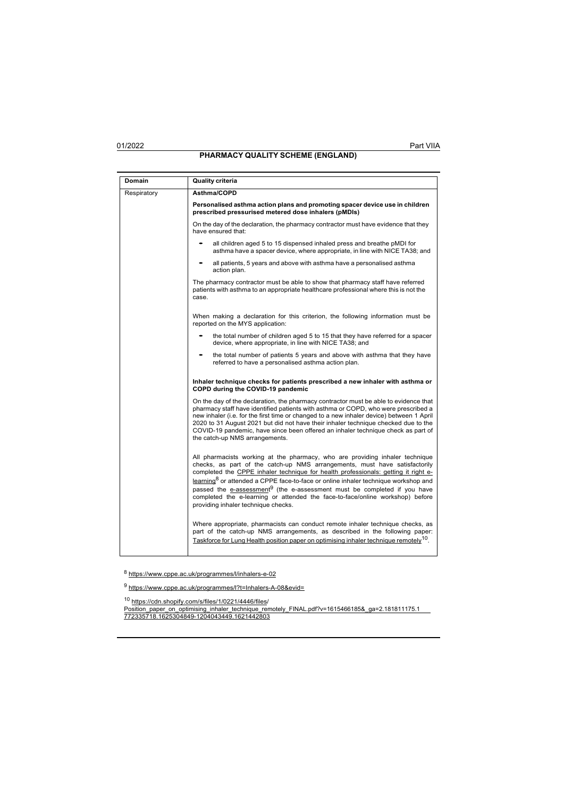| Domain      | <b>Quality criteria</b>                                                                                                                                                                                                                                                                                                                                                                                                                                                                                                                                            |
|-------------|--------------------------------------------------------------------------------------------------------------------------------------------------------------------------------------------------------------------------------------------------------------------------------------------------------------------------------------------------------------------------------------------------------------------------------------------------------------------------------------------------------------------------------------------------------------------|
| Respiratory | Asthma/COPD                                                                                                                                                                                                                                                                                                                                                                                                                                                                                                                                                        |
|             | Personalised asthma action plans and promoting spacer device use in children<br>prescribed pressurised metered dose inhalers (pMDIs)                                                                                                                                                                                                                                                                                                                                                                                                                               |
|             | On the day of the declaration, the pharmacy contractor must have evidence that they<br>have ensured that:                                                                                                                                                                                                                                                                                                                                                                                                                                                          |
|             | all children aged 5 to 15 dispensed inhaled press and breathe pMDI for<br>asthma have a spacer device, where appropriate, in line with NICE TA38; and                                                                                                                                                                                                                                                                                                                                                                                                              |
|             | all patients, 5 years and above with asthma have a personalised asthma<br>action plan.                                                                                                                                                                                                                                                                                                                                                                                                                                                                             |
|             | The pharmacy contractor must be able to show that pharmacy staff have referred<br>patients with asthma to an appropriate healthcare professional where this is not the<br>case.                                                                                                                                                                                                                                                                                                                                                                                    |
|             | When making a declaration for this criterion, the following information must be<br>reported on the MYS application:                                                                                                                                                                                                                                                                                                                                                                                                                                                |
|             | the total number of children aged 5 to 15 that they have referred for a spacer<br>device, where appropriate, in line with NICE TA38; and                                                                                                                                                                                                                                                                                                                                                                                                                           |
|             | the total number of patients 5 years and above with asthma that they have<br>referred to have a personalised asthma action plan.                                                                                                                                                                                                                                                                                                                                                                                                                                   |
|             | Inhaler technique checks for patients prescribed a new inhaler with asthma or<br>COPD during the COVID-19 pandemic                                                                                                                                                                                                                                                                                                                                                                                                                                                 |
|             | On the day of the declaration, the pharmacy contractor must be able to evidence that<br>pharmacy staff have identified patients with asthma or COPD, who were prescribed a<br>new inhaler (i.e. for the first time or changed to a new inhaler device) between 1 April<br>2020 to 31 August 2021 but did not have their inhaler technique checked due to the<br>COVID-19 pandemic, have since been offered an inhaler technique check as part of<br>the catch-up NMS arrangements.                                                                                 |
|             | All pharmacists working at the pharmacy, who are providing inhaler technique<br>checks, as part of the catch-up NMS arrangements, must have satisfactorily<br>completed the CPPE inhaler technique for health professionals: getting it right e-<br>learning <sup>8</sup> or attended a CPPE face-to-face or online inhaler technique workshop and<br>passed the e-assessment <sup>9</sup> (the e-assessment must be completed if you have<br>completed the e-learning or attended the face-to-face/online workshop) before<br>providing inhaler technique checks. |
|             | Where appropriate, pharmacists can conduct remote inhaler technique checks, as<br>part of the catch-up NMS arrangements, as described in the following paper:<br>Taskforce for Lung Health position paper on optimising inhaler technique remotely <sup>10</sup> .                                                                                                                                                                                                                                                                                                 |

<sup>8</sup> https:[//www.cppe.ac.uk/programmes/l/inhalers-e-02](http://www.cppe.ac.uk/programmes/l/inhalers-e-02)

<sup>9</sup> https:[//www.cppe.ac.uk/programmes/l?t=Inhalers-A-08&evid=](http://www.cppe.ac.uk/programmes/l?t=Inhalers-A-08&evid)

<sup>10</sup> https://cdn.shopify.com/s/files/1/0221/4446/files/ Position\_paper\_on\_optimising\_inhaler\_technique\_remotely\_FINAL.pdf?v=1615466185&\_ga=2.181811175.1 772335718.1625304849-1204043449.1621442803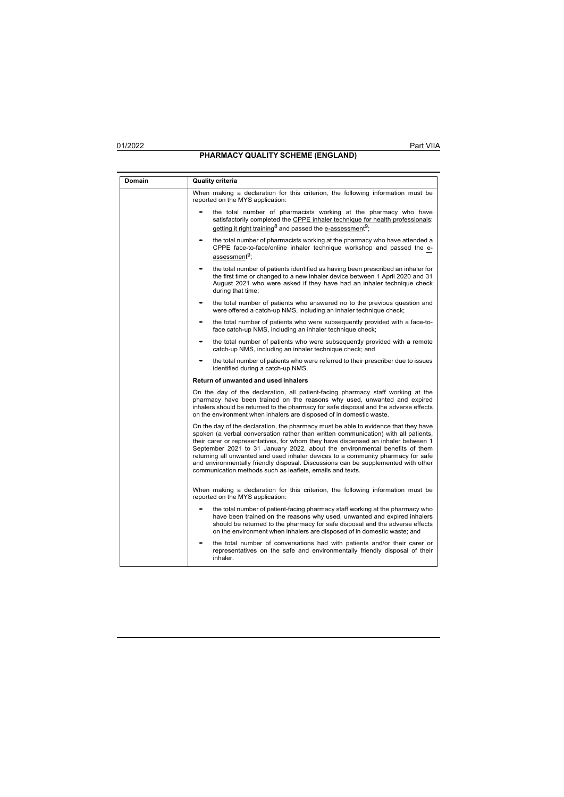| Domain | Quality criteria                                                                                                                                                                                                                                                                                                                                                                                                                                                                                                                                                                     |
|--------|--------------------------------------------------------------------------------------------------------------------------------------------------------------------------------------------------------------------------------------------------------------------------------------------------------------------------------------------------------------------------------------------------------------------------------------------------------------------------------------------------------------------------------------------------------------------------------------|
|        | When making a declaration for this criterion, the following information must be<br>reported on the MYS application:                                                                                                                                                                                                                                                                                                                                                                                                                                                                  |
|        | the total number of pharmacists working at the pharmacy who have<br>satisfactorily completed the CPPE inhaler technique for health professionals:<br>getting it right training <sup>8</sup> and passed the e-assessment <sup>9</sup> ;                                                                                                                                                                                                                                                                                                                                               |
|        | the total number of pharmacists working at the pharmacy who have attended a<br>CPPE face-to-face/online inhaler technique workshop and passed the e-<br>assessment <sup>9</sup> :                                                                                                                                                                                                                                                                                                                                                                                                    |
|        | the total number of patients identified as having been prescribed an inhaler for<br>the first time or changed to a new inhaler device between 1 April 2020 and 31<br>August 2021 who were asked if they have had an inhaler technique check<br>during that time;                                                                                                                                                                                                                                                                                                                     |
|        | the total number of patients who answered no to the previous question and<br>were offered a catch-up NMS, including an inhaler technique check;                                                                                                                                                                                                                                                                                                                                                                                                                                      |
|        | the total number of patients who were subsequently provided with a face-to-<br>face catch-up NMS, including an inhaler technique check;                                                                                                                                                                                                                                                                                                                                                                                                                                              |
|        | the total number of patients who were subsequently provided with a remote<br>catch-up NMS, including an inhaler technique check; and                                                                                                                                                                                                                                                                                                                                                                                                                                                 |
|        | the total number of patients who were referred to their prescriber due to issues<br>identified during a catch-up NMS.                                                                                                                                                                                                                                                                                                                                                                                                                                                                |
|        | Return of unwanted and used inhalers                                                                                                                                                                                                                                                                                                                                                                                                                                                                                                                                                 |
|        | On the day of the declaration, all patient-facing pharmacy staff working at the<br>pharmacy have been trained on the reasons why used, unwanted and expired<br>inhalers should be returned to the pharmacy for safe disposal and the adverse effects<br>on the environment when inhalers are disposed of in domestic waste.                                                                                                                                                                                                                                                          |
|        | On the day of the declaration, the pharmacy must be able to evidence that they have<br>spoken (a verbal conversation rather than written communication) with all patients,<br>their carer or representatives, for whom they have dispensed an inhaler between 1<br>September 2021 to 31 January 2022, about the environmental benefits of them<br>returning all unwanted and used inhaler devices to a community pharmacy for safe<br>and environmentally friendly disposal. Discussions can be supplemented with other<br>communication methods such as leaflets, emails and texts. |
|        | When making a declaration for this criterion, the following information must be<br>reported on the MYS application:                                                                                                                                                                                                                                                                                                                                                                                                                                                                  |
|        | the total number of patient-facing pharmacy staff working at the pharmacy who<br>have been trained on the reasons why used, unwanted and expired inhalers<br>should be returned to the pharmacy for safe disposal and the adverse effects<br>on the environment when inhalers are disposed of in domestic waste; and                                                                                                                                                                                                                                                                 |
|        | the total number of conversations had with patients and/or their carer or<br>representatives on the safe and environmentally friendly disposal of their<br>inhaler.                                                                                                                                                                                                                                                                                                                                                                                                                  |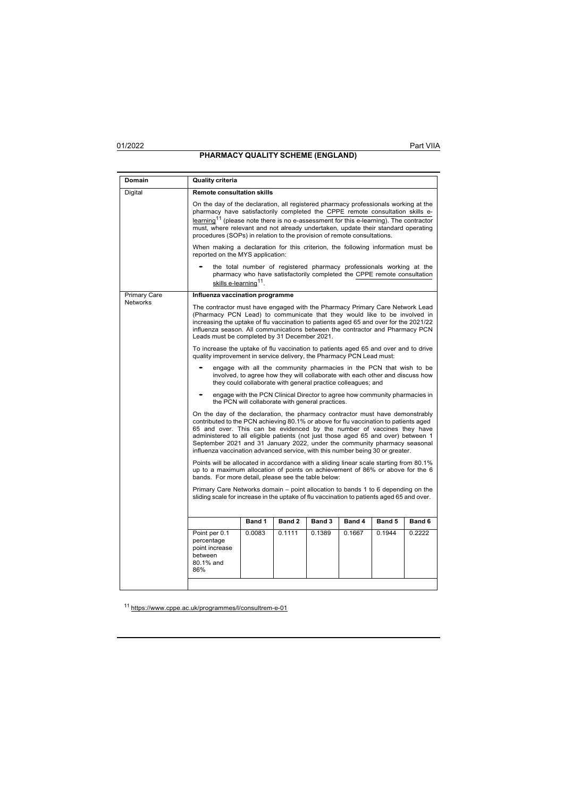**Domain Quality criteria** Digital **Remote consultation skills** On the day of the declaration, all registered pharmacy professionals working at the pharmacy have satisfactorily completed the CPPE remote consultation skills elearning<sup>11</sup> (please note there is no e-assessment for this e-learning). The contractor must, where relevant and not already undertaken, update their standard operating procedures (SOPs) in relation to the provision of remote consultations. When making a declaration for this criterion, the following information must be reported on the MYS application: • the total number of registered pharmacy professionals working at the pharmacy who have satisfactorily completed the CPPE remote consultation skills e-learning<sup>11</sup>. Primary Care **Networks Influenza vaccination programme** The contractor must have engaged with the Pharmacy Primary Care Network Lead (Pharmacy PCN Lead) to communicate that they would like to be involved in increasing the uptake of flu vaccination to patients aged 65 and over for the 2021/22 influenza season. All communications between the contractor and Pharmacy PCN Leads must be completed by 31 December 2021. To increase the uptake of flu vaccination to patients aged 65 and over and to drive quality improvement in service delivery, the Pharmacy PCN Lead must: • engage with all the community pharmacies in the PCN that wish to be involved, to agree how they will collaborate with each other and discuss how they could collaborate with general practice colleagues; and • engage with the PCN Clinical Director to agree how community pharmacies in the PCN will collaborate with general practices. On the day of the declaration, the pharmacy contractor must have demonstrably contributed to the PCN achieving 80.1% or above for flu vaccination to patients aged 65 and over. This can be evidenced by the number of vaccines they have administered to all eligible patients (not just those aged 65 and over) between 1 September 2021 and 31 January 2022, under the community pharmacy seasonal influenza vaccination advanced service, with this number being 30 or greater. Points will be allocated in accordance with a sliding linear scale starting from 80.1% up to a maximum allocation of points on achievement of 86% or above for the 6 bands. For more detail, please see the table below: Primary Care Networks domain – point allocation to bands 1 to 6 depending on the sliding scale for increase in the uptake of flu vaccination to patients aged 65 and over. **Band 1 Band 2 Band 3 Band 4 Band 5 Band 6** Point per 0.1 percentage point increase between 80.1% and 86% 0.0083 0.1111 0.1389 0.1667 0.1944 0.2222

<sup>11</sup> https:[//www.cppe.ac.uk/programmes/l/consultrem-e-01](http://www.cppe.ac.uk/programmes/l/consultrem-e-01)

01/2022 Part VIIA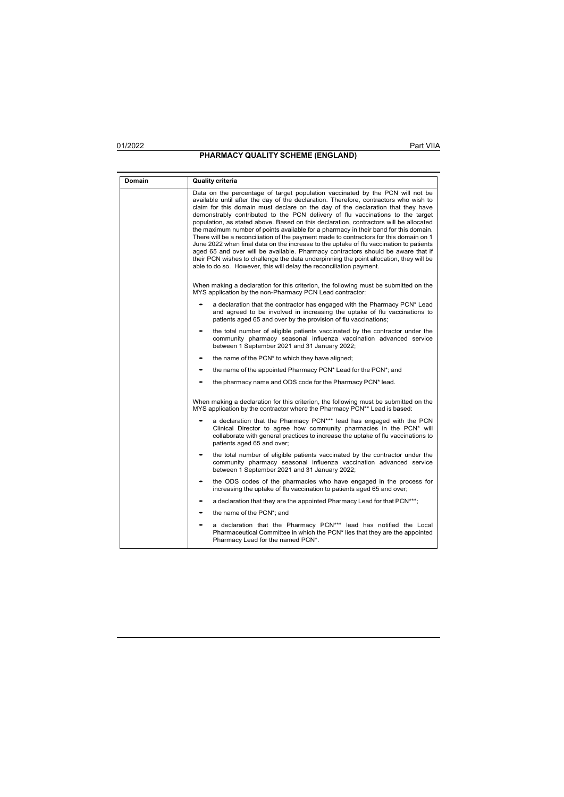| Domain | <b>Quality criteria</b>                                                                                                                                                                                                                                                                                                                                                                                                                                                                                                                                                                                                                                                                                                                                                                                                                                                                                                                                              |
|--------|----------------------------------------------------------------------------------------------------------------------------------------------------------------------------------------------------------------------------------------------------------------------------------------------------------------------------------------------------------------------------------------------------------------------------------------------------------------------------------------------------------------------------------------------------------------------------------------------------------------------------------------------------------------------------------------------------------------------------------------------------------------------------------------------------------------------------------------------------------------------------------------------------------------------------------------------------------------------|
|        | Data on the percentage of target population vaccinated by the PCN will not be<br>available until after the day of the declaration. Therefore, contractors who wish to<br>claim for this domain must declare on the day of the declaration that they have<br>demonstrably contributed to the PCN delivery of flu vaccinations to the target<br>population, as stated above. Based on this declaration, contractors will be allocated<br>the maximum number of points available for a pharmacy in their band for this domain.<br>There will be a reconciliation of the payment made to contractors for this domain on 1<br>June 2022 when final data on the increase to the uptake of flu vaccination to patients<br>aged 65 and over will be available. Pharmacy contractors should be aware that if<br>their PCN wishes to challenge the data underpinning the point allocation, they will be<br>able to do so. However, this will delay the reconciliation payment. |
|        | When making a declaration for this criterion, the following must be submitted on the<br>MYS application by the non-Pharmacy PCN Lead contractor:                                                                                                                                                                                                                                                                                                                                                                                                                                                                                                                                                                                                                                                                                                                                                                                                                     |
|        | a declaration that the contractor has engaged with the Pharmacy PCN* Lead<br>and agreed to be involved in increasing the uptake of flu vaccinations to<br>patients aged 65 and over by the provision of flu vaccinations;                                                                                                                                                                                                                                                                                                                                                                                                                                                                                                                                                                                                                                                                                                                                            |
|        | the total number of eligible patients vaccinated by the contractor under the<br>community pharmacy seasonal influenza vaccination advanced service<br>between 1 September 2021 and 31 January 2022;                                                                                                                                                                                                                                                                                                                                                                                                                                                                                                                                                                                                                                                                                                                                                                  |
|        | the name of the PCN* to which they have aligned;                                                                                                                                                                                                                                                                                                                                                                                                                                                                                                                                                                                                                                                                                                                                                                                                                                                                                                                     |
|        | the name of the appointed Pharmacy PCN* Lead for the PCN*; and                                                                                                                                                                                                                                                                                                                                                                                                                                                                                                                                                                                                                                                                                                                                                                                                                                                                                                       |
|        | the pharmacy name and ODS code for the Pharmacy PCN* lead.                                                                                                                                                                                                                                                                                                                                                                                                                                                                                                                                                                                                                                                                                                                                                                                                                                                                                                           |
|        | When making a declaration for this criterion, the following must be submitted on the<br>MYS application by the contractor where the Pharmacy PCN <sup>**</sup> Lead is based:                                                                                                                                                                                                                                                                                                                                                                                                                                                                                                                                                                                                                                                                                                                                                                                        |
|        | a declaration that the Pharmacy PCN*** lead has engaged with the PCN<br>Clinical Director to agree how community pharmacies in the PCN* will<br>collaborate with general practices to increase the uptake of flu vaccinations to<br>patients aged 65 and over;                                                                                                                                                                                                                                                                                                                                                                                                                                                                                                                                                                                                                                                                                                       |
|        | the total number of eligible patients vaccinated by the contractor under the<br>community pharmacy seasonal influenza vaccination advanced service<br>between 1 September 2021 and 31 January 2022;                                                                                                                                                                                                                                                                                                                                                                                                                                                                                                                                                                                                                                                                                                                                                                  |
|        | the ODS codes of the pharmacies who have engaged in the process for<br>increasing the uptake of flu vaccination to patients aged 65 and over;                                                                                                                                                                                                                                                                                                                                                                                                                                                                                                                                                                                                                                                                                                                                                                                                                        |
|        | a declaration that they are the appointed Pharmacy Lead for that PCN***;                                                                                                                                                                                                                                                                                                                                                                                                                                                                                                                                                                                                                                                                                                                                                                                                                                                                                             |
|        | the name of the PCN*; and                                                                                                                                                                                                                                                                                                                                                                                                                                                                                                                                                                                                                                                                                                                                                                                                                                                                                                                                            |
|        | a declaration that the Pharmacy PCN*** lead has notified the Local<br>Pharmaceutical Committee in which the PCN <sup>*</sup> lies that they are the appointed<br>Pharmacy Lead for the named PCN*.                                                                                                                                                                                                                                                                                                                                                                                                                                                                                                                                                                                                                                                                                                                                                                   |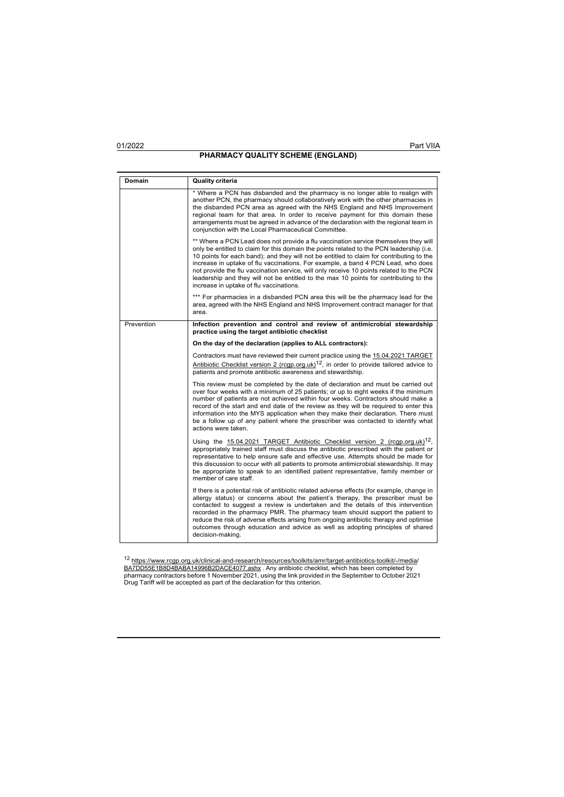# **PHARMACY QUALITY SCHEME (ENGLAND)**

| Domain     | <b>Quality criteria</b>                                                                                                                                                                                                                                                                                                                                                                                                                                                                                                                                                                        |
|------------|------------------------------------------------------------------------------------------------------------------------------------------------------------------------------------------------------------------------------------------------------------------------------------------------------------------------------------------------------------------------------------------------------------------------------------------------------------------------------------------------------------------------------------------------------------------------------------------------|
|            | * Where a PCN has disbanded and the pharmacy is no longer able to realign with<br>another PCN, the pharmacy should collaboratively work with the other pharmacies in<br>the disbanded PCN area as agreed with the NHS England and NHS Improvement<br>regional team for that area. In order to receive payment for this domain these<br>arrangements must be agreed in advance of the declaration with the regional team in<br>conjunction with the Local Pharmaceutical Committee.                                                                                                             |
|            | ** Where a PCN Lead does not provide a flu vaccination service themselves they will<br>only be entitled to claim for this domain the points related to the PCN leadership (i.e.<br>10 points for each band); and they will not be entitled to claim for contributing to the<br>increase in uptake of flu vaccinations. For example, a band 4 PCN Lead, who does<br>not provide the flu vaccination service, will only receive 10 points related to the PCN<br>leadership and they will not be entitled to the max 10 points for contributing to the<br>increase in uptake of flu vaccinations. |
|            | *** For pharmacies in a disbanded PCN area this will be the pharmacy lead for the<br>area, agreed with the NHS England and NHS Improvement contract manager for that<br>area.                                                                                                                                                                                                                                                                                                                                                                                                                  |
| Prevention | Infection prevention and control and review of antimicrobial stewardship<br>practice using the target antibiotic checklist                                                                                                                                                                                                                                                                                                                                                                                                                                                                     |
|            | On the day of the declaration (applies to ALL contractors):                                                                                                                                                                                                                                                                                                                                                                                                                                                                                                                                    |
|            | Contractors must have reviewed their current practice using the 15.04.2021 TARGET<br>Antibiotic Checklist version 2 (rcqp.org.uk) <sup>12</sup> , in order to provide tailored advice to<br>patients and promote antibiotic awareness and stewardship.                                                                                                                                                                                                                                                                                                                                         |
|            | This review must be completed by the date of declaration and must be carried out<br>over four weeks with a minimum of 25 patients; or up to eight weeks if the minimum<br>number of patients are not achieved within four weeks. Contractors should make a<br>record of the start and end date of the review as they will be required to enter this<br>information into the MYS application when they make their declaration. There must<br>be a follow up of any patient where the prescriber was contacted to identify what<br>actions were taken.                                           |
|            | Using the 15.04.2021 TARGET Antibiotic Checklist version 2 (rcqp.org.uk) <sup>12</sup> ,<br>appropriately trained staff must discuss the antibiotic prescribed with the patient or<br>representative to help ensure safe and effective use. Attempts should be made for<br>this discussion to occur with all patients to promote antimicrobial stewardship. It may<br>be appropriate to speak to an identified patient representative, family member or<br>member of care staff.                                                                                                               |
|            | If there is a potential risk of antibiotic related adverse effects (for example, change in<br>allergy status) or concerns about the patient's therapy, the prescriber must be<br>contacted to suggest a review is undertaken and the details of this intervention<br>recorded in the pharmacy PMR. The pharmacy team should support the patient to<br>reduce the risk of adverse effects arising from ongoing antibiotic therapy and optimise<br>outcomes through education and advice as well as adopting principles of shared<br>decision-making.                                            |

<sup>12</sup> <u>https://www.rcqp.org.uk/clinical-and-research/resources/toolkits/amr/target-antibiotics-toolkit/-/media/<br><u>BA7DD55E1B8D4BABA14996B2DACE4077.ashx</u> . Any antibiotic checklist, which has been completed by<br>pharmacy contra</u>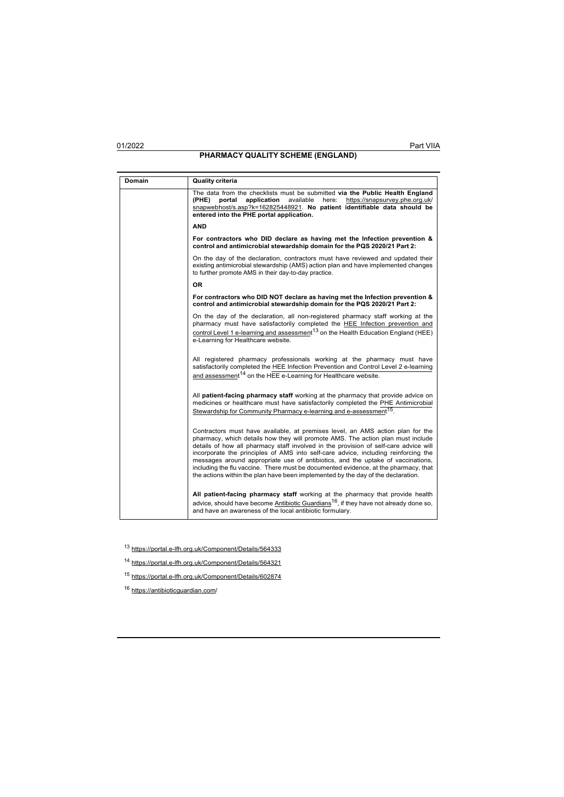| <b>Domain</b> | <b>Quality criteria</b>                                                                                                                                                                                                                                                                                                                                                                                                                                                                                                                                                                                       |
|---------------|---------------------------------------------------------------------------------------------------------------------------------------------------------------------------------------------------------------------------------------------------------------------------------------------------------------------------------------------------------------------------------------------------------------------------------------------------------------------------------------------------------------------------------------------------------------------------------------------------------------|
|               | The data from the checklists must be submitted via the Public Health England<br>(PHE)<br>application<br>available<br>here:<br>https://snapsurvey.phe.org.uk/<br>portal<br>snapwebhost/s.asp?k=162825448921. No patient identifiable data should be<br>entered into the PHE portal application.                                                                                                                                                                                                                                                                                                                |
|               | <b>AND</b>                                                                                                                                                                                                                                                                                                                                                                                                                                                                                                                                                                                                    |
|               | For contractors who DID declare as having met the Infection prevention &<br>control and antimicrobial stewardship domain for the PQS 2020/21 Part 2:                                                                                                                                                                                                                                                                                                                                                                                                                                                          |
|               | On the day of the declaration, contractors must have reviewed and updated their<br>existing antimicrobial stewardship (AMS) action plan and have implemented changes<br>to further promote AMS in their day-to-day practice.                                                                                                                                                                                                                                                                                                                                                                                  |
|               | <b>OR</b>                                                                                                                                                                                                                                                                                                                                                                                                                                                                                                                                                                                                     |
|               | For contractors who DID NOT declare as having met the Infection prevention &<br>control and antimicrobial stewardship domain for the PQS 2020/21 Part 2:                                                                                                                                                                                                                                                                                                                                                                                                                                                      |
|               | On the day of the declaration, all non-registered pharmacy staff working at the<br>pharmacy must have satisfactorily completed the HEE Infection prevention and<br>control Level 1 e-learning and assessment <sup>13</sup> on the Health Education England (HEE)<br>e-Learning for Healthcare website.                                                                                                                                                                                                                                                                                                        |
|               | All registered pharmacy professionals working at the pharmacy must have<br>satisfactorily completed the HEE Infection Prevention and Control Level 2 e-learning<br>and assessment <sup>14</sup> on the HEE e-Learning for Healthcare website.                                                                                                                                                                                                                                                                                                                                                                 |
|               | All patient-facing pharmacy staff working at the pharmacy that provide advice on<br>medicines or healthcare must have satisfactorily completed the PHE Antimicrobial<br>Stewardship for Community Pharmacy e-learning and e-assessment <sup>15</sup> .                                                                                                                                                                                                                                                                                                                                                        |
|               | Contractors must have available, at premises level, an AMS action plan for the<br>pharmacy, which details how they will promote AMS. The action plan must include<br>details of how all pharmacy staff involved in the provision of self-care advice will<br>incorporate the principles of AMS into self-care advice, including reinforcing the<br>messages around appropriate use of antibiotics, and the uptake of vaccinations,<br>including the flu vaccine. There must be documented evidence, at the pharmacy, that<br>the actions within the plan have been implemented by the day of the declaration. |
|               | All patient-facing pharmacy staff working at the pharmacy that provide health<br>advice, should have become Antibiotic Guardians <sup>16</sup> , if they have not already done so,<br>and have an awareness of the local antibiotic formulary.                                                                                                                                                                                                                                                                                                                                                                |

- <sup>13</sup> https://portal.e-lfh.org.uk/Component/Details/564333
- <sup>14</sup> https://portal.e-lfh.org.uk/Component/Details/564321
- <sup>15</sup> https://portal.e-lfh.org.uk/Component/Details/602874
- <sup>16</sup> https://antibioticguardian.com/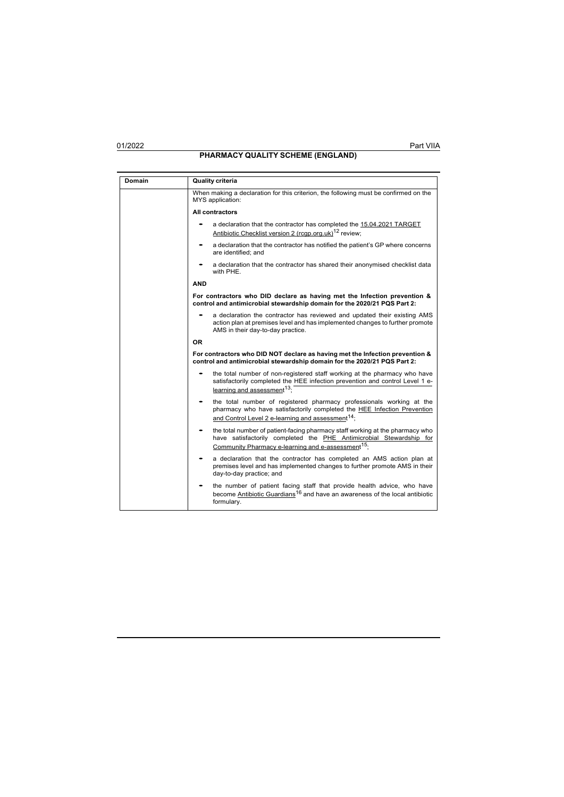| Domain | <b>Quality criteria</b>                                                                                                                                                                                                |
|--------|------------------------------------------------------------------------------------------------------------------------------------------------------------------------------------------------------------------------|
|        | When making a declaration for this criterion, the following must be confirmed on the<br>MYS application:                                                                                                               |
|        | All contractors                                                                                                                                                                                                        |
|        | a declaration that the contractor has completed the 15.04.2021 TARGET<br>Antibiotic Checklist version 2 (rcqp.org.uk) <sup>12</sup> review;                                                                            |
|        | a declaration that the contractor has notified the patient's GP where concerns<br>are identified; and                                                                                                                  |
|        | a declaration that the contractor has shared their anonymised checklist data<br>with PHE.                                                                                                                              |
|        | <b>AND</b>                                                                                                                                                                                                             |
|        | For contractors who DID declare as having met the Infection prevention &<br>control and antimicrobial stewardship domain for the 2020/21 PQS Part 2:                                                                   |
|        | a declaration the contractor has reviewed and updated their existing AMS<br>action plan at premises level and has implemented changes to further promote<br>AMS in their day-to-day practice.                          |
|        | 0R                                                                                                                                                                                                                     |
|        | For contractors who DID NOT declare as having met the Infection prevention &<br>control and antimicrobial stewardship domain for the 2020/21 PQS Part 2:                                                               |
|        | the total number of non-registered staff working at the pharmacy who have<br>satisfactorily completed the HEE infection prevention and control Level 1 e-<br>learning and assessment <sup>13</sup> :                   |
|        | the total number of registered pharmacy professionals working at the<br>pharmacy who have satisfactorily completed the HEE Infection Prevention<br>and Control Level 2 e-learning and assessment <sup>14</sup> ;       |
|        | the total number of patient-facing pharmacy staff working at the pharmacy who<br>have satisfactorily completed the PHE Antimicrobial Stewardship for<br>Community Pharmacy e-learning and e-assessment <sup>15</sup> ; |
|        | a declaration that the contractor has completed an AMS action plan at<br>premises level and has implemented changes to further promote AMS in their<br>day-to-day practice; and                                        |
|        | the number of patient facing staff that provide health advice, who have<br>become Antibiotic Guardians <sup>16</sup> and have an awareness of the local antibiotic<br>formulary.                                       |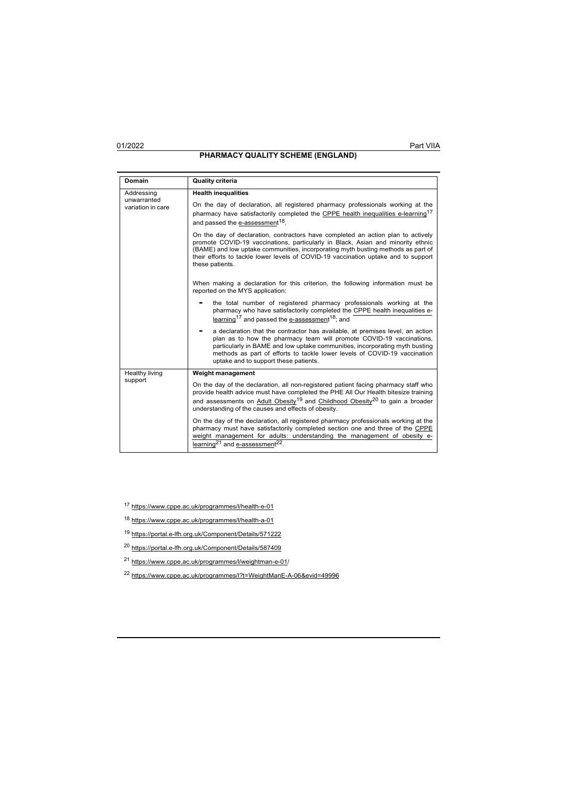| Domain                                         | <b>Quality criteria</b>                                                                                                                                                                                                                                                                                                                                          |
|------------------------------------------------|------------------------------------------------------------------------------------------------------------------------------------------------------------------------------------------------------------------------------------------------------------------------------------------------------------------------------------------------------------------|
| Addressing<br>unwarranted<br>variation in care | <b>Health inequalities</b>                                                                                                                                                                                                                                                                                                                                       |
|                                                | On the day of declaration, all registered pharmacy professionals working at the<br>pharmacy have satisfactorily completed the CPPE health inequalities e-learning <sup>17</sup><br>and passed the e-assessment <sup>18</sup> .                                                                                                                                   |
|                                                | On the day of declaration, contractors have completed an action plan to actively<br>promote COVID-19 vaccinations, particularly in Black, Asian and minority ethnic<br>(BAME) and low uptake communities, incorporating myth busting methods as part of<br>their efforts to tackle lower levels of COVID-19 vaccination uptake and to support<br>these patients. |
|                                                | When making a declaration for this criterion, the following information must be<br>reported on the MYS application:                                                                                                                                                                                                                                              |
|                                                | the total number of registered pharmacy professionals working at the<br>pharmacy who have satisfactorily completed the CPPE health inequalities e-<br>learning <sup>17</sup> and passed the e-assessment <sup>18</sup> ; and                                                                                                                                     |
|                                                | a declaration that the contractor has available, at premises level, an action<br>plan as to how the pharmacy team will promote COVID-19 vaccinations,<br>particularly in BAME and low uptake communities, incorporating myth busting<br>methods as part of efforts to tackle lower levels of COVID-19 vaccination<br>uptake and to support these patients.       |
| Healthy living                                 | Weight management                                                                                                                                                                                                                                                                                                                                                |
| support                                        | On the day of the declaration, all non-registered patient facing pharmacy staff who<br>provide health advice must have completed the PHE All Our Health bitesize training<br>and assessments on Adult Obesity <sup>19</sup> and Childhood Obesity <sup>20</sup> to gain a broader<br>understanding of the causes and effects of obesity.                         |
|                                                | On the day of the declaration, all registered pharmacy professionals working at the<br>pharmacy must have satisfactorily completed section one and three of the CPPE<br>weight management for adults: understanding the management of obesity e-<br>learning <sup>21</sup> and e-assessment <sup>22</sup> .                                                      |

<sup>17</sup> http[s://www.cppe.ac.uk/programmes/l/health-e-01](http://www.cppe.ac.uk/programmes/l/health-e-01)

<sup>18</sup> http[s://www.cppe.ac.uk/programmes/l/health-a-01](http://www.cppe.ac.uk/programmes/l/health-a-01)

<sup>19</sup> https://portal.e-lfh.org.uk/Component/Details/571222

<sup>20</sup> https://portal.e-lfh.org.uk/Component/Details/587409

<sup>21</sup> http[s://www.cppe.ac.uk/programmes/l/weightman-e-01/](http://www.cppe.ac.uk/programmes/l/weightman-e-01/)

<sup>22</sup> http[s://www.cppe.ac.uk/programmes/l?t=WeightManE-A-06&evid=49996](http://www.cppe.ac.uk/programmes/l?t=WeightManE-A-06&evid=49996)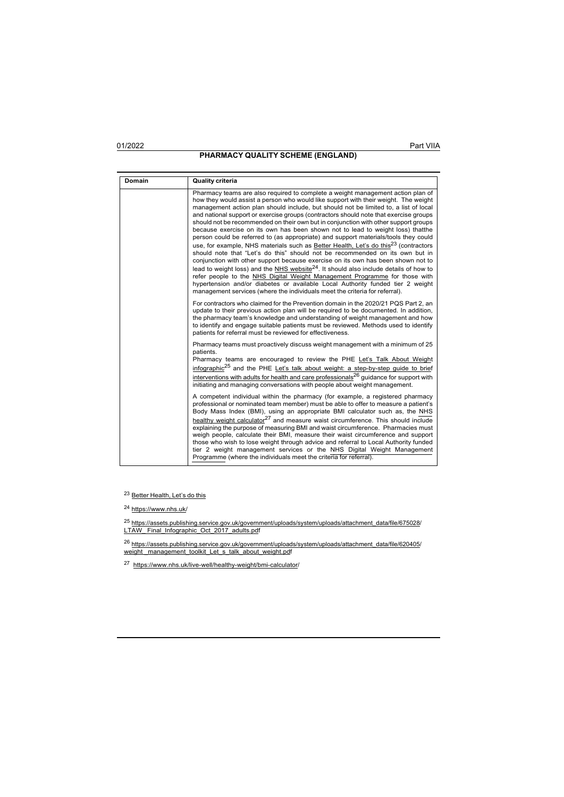# **PHARMACY QUALITY SCHEME (ENGLAND)**

**Domain Quality criteria** Pharmacy teams are also required to complete a weight management action plan of how they would assist a person who would like support with their weight. The weight management action plan should include, but should not be limited to, a list of local and national support or exercise groups (contractors should note that exercise groups should not be recommended on their own but in conjunction with other support groups because exercise on its own has been shown not to lead to weight loss) thatthe person could be referred to (as appropriate) and support materials/tools they could use, for example, NHS materials such as Better Health, Let's do this<sup>23</sup> (contractors should note that "Let's do this" should not be recommended on its own but in conjunction with other support because exercise on its own has been shown not to lead to weight loss) and the NHS website  $24$ . It should also include details of how to refer people to the NHS Digital Weight Management Programme for those with hypertension and/or diabetes or available Local Authority funded tier 2 weight management services (where the individuals meet the criteria for referral). For contractors who claimed for the Prevention domain in the 2020/21 PQS Part 2, an update to their previous action plan will be required to be documented. In addition, the pharmacy team's knowledge and understanding of weight management and how to identify and engage suitable patients must be reviewed. Methods used to identify patients for referral must be reviewed for effectiveness. Pharmacy teams must proactively discuss weight management with a minimum of 25 **natients** Pharmacy teams are encouraged to review the PHE Let's Talk About Weight infographic<sup>25</sup> and the PHE Let's talk about weight: a step-by-step guide to brief <u>interventions with adults for health and care professionals<sup>26</sup> guidance for support with<br>initiating and managing conversations with people about weight management.</u> A competent individual within the pharmacy (for example, a registered pharmacy professional or nominated team member) must be able to offer to measure a patient's Body Mass Index (BMI), using an appropriate BMI calculator such as, the NHS healthy weight calculator<sup>27</sup> and measure waist circumference. This should include explaining the purpose of measuring BMI and waist circumference. Pharmacies must weigh people, calculate their BMI, measure their waist circumference and support those who wish to lose weight through advice and referral to Local Authority funded tier 2 weight management services or the NHS Digital Weight Management Programme (where the individuals meet the criteria for referral).

23 Better Health, Let's do this

<sup>24</sup> http[s://www.nhs.uk/](http://www.nhs.uk/)

<sup>25</sup> https://assets.publishing.service.gov.uk/government/uploads/system/uploads/attachment\_data/file/675028/ LTAW\_Final\_Infographic\_Oct\_2017\_adults.pdf

<sup>26</sup> <u>https://assets.publishing.service.gov.uk/government/uploads/system/uploads/attachment\_data/file/620405/<br>weight\_management\_toolkit\_Let\_s\_talk\_about\_weight.pdf</u>

<sup>27</sup> https:[//www.nhs.uk/live-well/healthy-weight/bmi-calculator/](http://www.nhs.uk/live-well/healthy-weight/bmi-calculator/)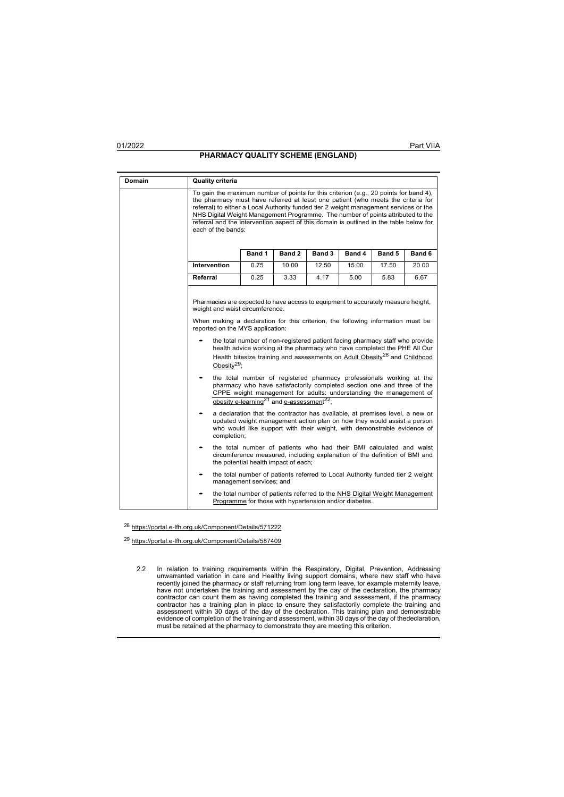# **PHARMACY QUALITY SCHEME (ENGLAND)**

# **Domain Quality criteria** To gain the maximum number of points for this criterion (e.g., 20 points for band 4), the pharmacy must have referred at least one patient (who meets the criteria for referral) to either a Local Authority funded tier 2 weight management services or the NHS Digital Weight Management Programme. The number of points attributed to the referral and the intervention aspect of this domain is outlined in the table below for each of the bands: **Band 1 Band 2 Band 3 Band 4 Band 5 Band 6 Intervention** 0.75 10.00 12.50 15.00 17.50 20.00 **Referral** | 0.25 | 3.33 | 4.17 | 5.00 | 5.83 | 6.67 Pharmacies are expected to have access to equipment to accurately measure height, weight and waist circumference. When making a declaration for this criterion, the following information must be reported on the MYS application: • the total number of non-registered patient facing pharmacy staff who provide health advice working at the pharmacy who have completed the PHE All Our Health bitesize training and assessments on Adult Obesity<sup>28</sup> and Childhood Obesity<sup>29</sup>; • the total number of registered pharmacy professionals working at the pharmacy who have satisfactorily completed section one and three of the CPPE weight management for adults: understanding the management of obesity e-learning<sup>21</sup> and <u>e-assessment</u><sup>22</sup>; • a declaration that the contractor has available, at premises level, a new or updated weight management action plan on how they would assist a person who would like support with their weight, with demonstrable evidence of completion; • the total number of patients who had their BMI calculated and waist circumference measured, including explanation of the definition of BMI and the potential health impact of each; the total number of patients referred to Local Authority funded tier 2 weight management services; and the total number of patients referred to the NHS Digital Weight Management Programme for those with hypertension and/or diabetes.

<sup>28</sup> https://portal.e-lfh.org.uk/Component/Details/571222

<sup>29</sup> https://portal.e-lfh.org.uk/Component/Details/587409

2.2 In relation to training requirements within the Respiratory, Digital, Prevention, Addressing unwarranted variation in care and Healthy living support domains, where new staff who have recently joined the pharmacy or staff returning from long term leave, for example maternity leave, have not undertaken the training and assessment by the day of the declaration, the pharmacy contractor can count them as having completed the training and assessment, if the pharmacy contractor has a training plan in place to ensure they satisfactorily complete the training and<br>assessment within 30 days of the day of the declaration. This training plan and demonstrable<br>evidence of completion of the tra must be retained at the pharmacy to demonstrate they are meeting this criterion.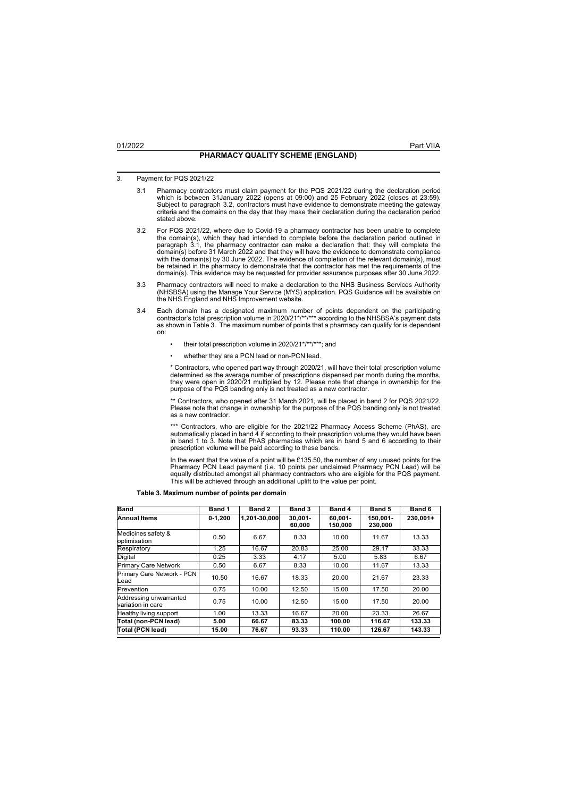## 3. Payment for PQS 2021/22

- 3.1 Pharmacy contractors must claim payment for the PQS 2021/22 during the declaration period which is between 31January 2022 (opens at 09:00) and 25 February 2022 (closes at 23:59). Subject to paragraph 3.2, contractors must have evidence to demonstrate meeting the gateway criteria and the domains on the day that they make their declaration during the declaration period stated above.
- 3.2 For PQS 2021/22, where due to Covid-19 a pharmacy contractor has been unable to complete the domain(s), which they had intended to complete before the declaration period outlined in paragraph 3.1, the pharmacy contractor can make a declaration that: they will complete the domain(s) before 31 March 2022 and that they will have the evidence to demonstrate compliance with the domain(s) by 30 June 2022. The evidence of completion of the relevant domain(s), must be retained in the pharmacy to demonstrate that the contractor has met the requirements of the domain(s). This evidence may be requested for provider assurance purposes after 30 June 2022.
- 3.3 Pharmacy contractors will need to make a declaration to the NHS Business Services Authority (NHSBSA) using the Manage Your Service (MYS) application. PQS Guidance will be available on the NHS England and NHS Improvement website.
- 3.4 Each domain has a designated maximum number of points dependent on the participating<br>contractor's total prescription volume in 2020/21\*/\*\*/\*\*\* according to the NHSBSA's payment data<br>as shown in Table 3. The maximum num on:
	- their total prescription volume in 2020/21\*/\*\*/\*\*\*; and
	- whether they are a PCN lead or non-PCN lead.

\* Contractors, who opened part way through 2020/21, will have their total prescription volume determined as the average number of prescriptions dispensed per month during the months, they were open in 2020/21 multiplied by 12. Please note that change in ownership for the purpose of the PQS banding only is not treated as a new contractor.

\*\* Contractors, who opened after 31 March 2021, will be placed in band 2 for PQS 2021/22. Please note that change in ownership for the purpose of the PQS banding only is not treated as a new contractor.

\*\*\* Contractors, who are eligible for the 2021/22 Pharmacy Access Scheme (PhAS), are<br>automatically placed in band 4 if according to their prescription volume they would have been<br>in band 1 to 3. Note that PhAS pharmacies w prescription volume will be paid according to these bands.

In the event that the value of a point will be £135.50, the number of any unused points for the Pharmacy PCN Lead payment (i.e. 10 points per unclaimed Pharmacy PCN Lead) will be<br>equally distributed amongst all pharmacy contractors who are eligible for the PQS payment.<br>This will be achieved through an additional upli

**Table 3. Maximum number of points per domain**

| <b>Band</b>                                 | Band 1      | Band 2       | Band 3               | Band 4                | Band 5              | Band 6   |
|---------------------------------------------|-------------|--------------|----------------------|-----------------------|---------------------|----------|
| <b>Annual Items</b>                         | $0 - 1.200$ | 1,201-30,000 | $30.001 -$<br>60.000 | $60.001 -$<br>150.000 | 150.001-<br>230.000 | 230.001+ |
| Medicines safety &<br>optimisation          | 0.50        | 6.67         | 8.33                 | 10.00                 | 11.67               | 13.33    |
| Respiratory                                 | 1.25        | 16.67        | 20.83                | 25.00                 | 29.17               | 33.33    |
| Digital                                     | 0.25        | 3.33         | 4.17                 | 5.00                  | 5.83                | 6.67     |
| <b>Primary Care Network</b>                 | 0.50        | 6.67         | 8.33                 | 10.00                 | 11.67               | 13.33    |
| Primary Care Network - PCN<br>Lead          | 10.50       | 16.67        | 18.33                | 20.00                 | 21.67               | 23.33    |
| Prevention                                  | 0.75        | 10.00        | 12.50                | 15.00                 | 17.50               | 20.00    |
| Addressing unwarranted<br>variation in care | 0.75        | 10.00        | 12.50                | 15.00                 | 17.50               | 20.00    |
| Healthy living support                      | 1.00        | 13.33        | 16.67                | 20.00                 | 23.33               | 26.67    |
| Total (non-PCN lead)                        | 5.00        | 66.67        | 83.33                | 100.00                | 116.67              | 133.33   |
| Total (PCN lead)                            | 15.00       | 76.67        | 93.33                | 110.00                | 126.67              | 143.33   |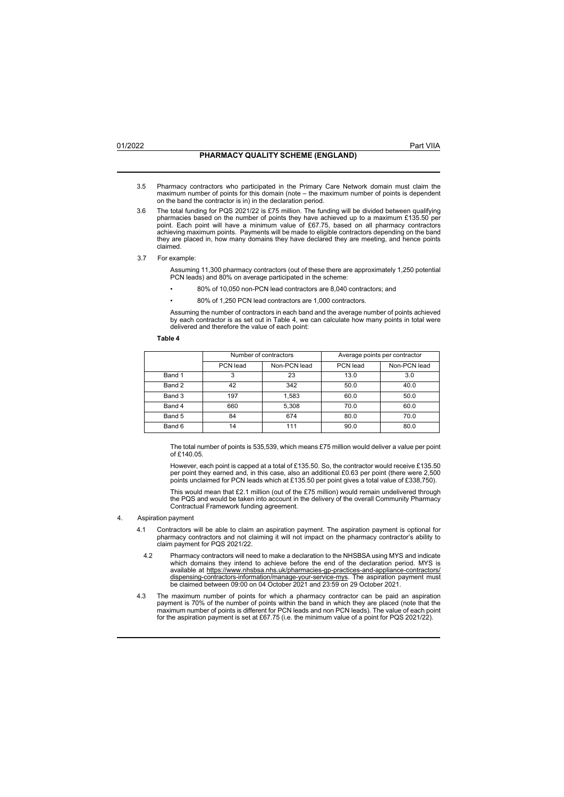- 3.5 Pharmacy contractors who participated in the Primary Care Network domain must claim the maximum number of points for this domain (note – the maximum number of points is dependent on the band the contractor is in) in the declaration period.
- 3.6 The total funding for PQS 2021/22 is £75 million. The funding will be divided between qualifying<br>pharmacies based on the number of points they have achieved up to a maximum £135.50 per<br>point. Each point will have a min achieving maximum points. Payments will be made to eligible contractors depending on the band they are placed in, how many domains they have declared they are meeting, and hence points claimed.
- 3.7 For example:

Assuming 11,300 pharmacy contractors (out of these there are approximately 1,250 potential PCN leads) and 80% on average participated in the scheme:

- 80% of 10,050 non-PCN lead contractors are 8,040 contractors; and
- 80% of 1,250 PCN lead contractors are 1,000 contractors.

Assuming the number of contractors in each band and the average number of points achieved by each contractor is as set out in Table 4, we can calculate how many points in total were delivered and therefore the value of each point:

## **Table 4**

|        | Number of contractors |              | Average points per contractor |              |
|--------|-----------------------|--------------|-------------------------------|--------------|
|        | PCN lead              | Non-PCN lead | PCN lead                      | Non-PCN lead |
| Band 1 | 3                     | 23           | 13.0                          | 3.0          |
| Band 2 | 42                    | 342          | 50.0                          | 40.0         |
| Band 3 | 197                   | 1.583        | 60.0                          | 50.0         |
| Band 4 | 660                   | 5.308        | 70.0                          | 60.0         |
| Band 5 | 84                    | 674          | 80.0                          | 70.0         |
| Band 6 | 14                    | 111          | 90.0                          | 80.0         |

The total number of points is 535,539, which means £75 million would deliver a value per point of £140.05.

However, each point is capped at a total of £135.50. So, the contractor would receive £135.50 per point they earned and, in this case, also an additional £0.63 per point (there were 2,500 points unclaimed for PCN leads which at £135.50 per point gives a total value of £338,750).

This would mean that £2.1 million (out of the £75 million) would remain undelivered through the PQS and would be taken into account in the delivery of the overall Community Pharmacy Contractual Framework funding agreement.

## 4. Aspiration payment

- 4.1 Contractors will be able to claim an aspiration payment. The aspiration payment is optional for pharmacy contractors and not claiming it will not impact on the pharmacy contractor's ability to claim payment for PQS 2021/22.
- 4.2 Pharmacy contractors will need to make a declaration to the NHSBSA using MYS and indicate which domains they intend to achieve before the end of the declaration period. MYS is available at https:[//www.nhsbsa.nhs.uk/pharmacies-gp-practices-and-appliance-contractors/](http://www.nhsbsa.nhs.uk/pharmacies-gp-practices-and-appliance-contractors/) <u>dispensing-contractors-information/manage-your-service-mys</u>. The aspiration payment must<br>be claimed between 09:00 on 04 October 2021 and 23:59 on 29 October 2021.
- 4.3 The maximum number of points for which a pharmacy contractor can be paid an aspiration payment is 70% of the number of points within the band in which they are placed (note that the maximum number of points is different for PCN leads and non PCN leads). The value of each point for the aspiration payment is set at £67.75 (i.e. the minimum value of a point for PQS 2021/22).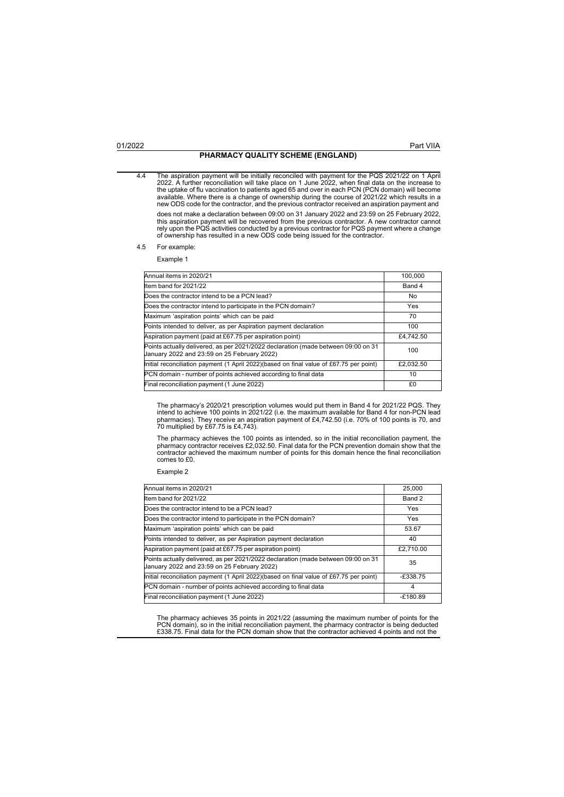# **PHARMACY QUALITY SCHEME (ENGLAND)**

4.4 The aspiration payment will be initially reconciled with payment for the PQS 2021/22 on 1 April 2022. A further reconciliation will take place on 1 June 2022, when final data on the increase to the uptake of flu vaccination to patients aged 65 and over in each PCN (PCN domain) will become available. Where there is a change of ownership during the course of 2021/22 which results in a new ODS code for the contractor, and the previous contractor received an aspiration payment and does not make a declaration between 09:00 on 31 January 2022 and 23:59 on 25 February 2022, this aspiration payment will be recovered from the previous contractor. A new contractor cannot rely upon the PQS activities conducted by a previous contractor for PQS payment where a change of ownership has resulted in a new ODS code being issued for the contractor.

## 4.5 For example:

## Example 1

| Annual items in 2020/21                                                                                                          | 100.000    |
|----------------------------------------------------------------------------------------------------------------------------------|------------|
| Item band for 2021/22                                                                                                            | Band 4     |
| Does the contractor intend to be a PCN lead?                                                                                     | No         |
| Does the contractor intend to participate in the PCN domain?                                                                     | <b>Yes</b> |
| Maximum 'aspiration points' which can be paid                                                                                    | 70         |
| Points intended to deliver, as per Aspiration payment declaration                                                                | 100        |
| Aspiration payment (paid at £67.75 per aspiration point)                                                                         | £4.742.50  |
| Points actually delivered, as per 2021/2022 declaration (made between 09:00 on 31<br>January 2022 and 23:59 on 25 February 2022) | 100        |
| Initial reconciliation payment (1 April 2022)(based on final value of £67.75 per point)                                          | £2.032.50  |
| PCN domain - number of points achieved according to final data                                                                   | 10         |
| Final reconciliation payment (1 June 2022)                                                                                       | £0         |

The pharmacy's 2020/21 prescription volumes would put them in Band 4 for 2021/22 PQS. They<br>intend to achieve 100 points in 2021/22 (i.e. the maximum available for Band 4 for non-PCN lead<br>pharmacies). They receive an aspira

The pharmacy achieves the 100 points as intended, so in the initial reconciliation payment, the<br>pharmacy contractor receives £2,032.50. Final data for the PCN prevention domain show that the<br>contractor achieved the maximum comes to £0.

## Example 2

| Annual items in 2020/21                                                                                                          | 25.000     |
|----------------------------------------------------------------------------------------------------------------------------------|------------|
|                                                                                                                                  |            |
| Item band for 2021/22                                                                                                            | Band 2     |
| Does the contractor intend to be a PCN lead?                                                                                     | Yes        |
| Does the contractor intend to participate in the PCN domain?                                                                     | Yes        |
| Maximum 'aspiration points' which can be paid                                                                                    | 53.67      |
| Points intended to deliver, as per Aspiration payment declaration                                                                | 40         |
| Aspiration payment (paid at £67.75 per aspiration point)                                                                         | £2,710.00  |
| Points actually delivered, as per 2021/2022 declaration (made between 09:00 on 31<br>January 2022 and 23:59 on 25 February 2022) | 35         |
| Initial reconciliation payment (1 April 2022)(based on final value of £67.75 per point)                                          | $-£338.75$ |
| PCN domain - number of points achieved according to final data                                                                   | 4          |
| Final reconciliation payment (1 June 2022)                                                                                       | $-E180.89$ |

The pharmacy achieves 35 points in 2021/22 (assuming the maximum number of points for the<br>PCN domain), so in the initial reconciliation payment, the pharmacy contractor is being deducted<br>£338.75. Final data for the PCN dom